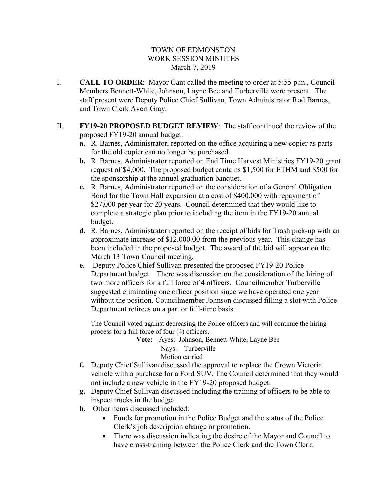## TOWN OF EDMONSTON WORK SESSION MINUTES March 7, 2019

- I. **CALL TO ORDER**: Mayor Gant called the meeting to order at 5:55 p.m., Council Members Bennett-White, Johnson, Layne Bee and Turberville were present. The staff present were Deputy Police Chief Sullivan, Town Administrator Rod Barnes, and Town Clerk Averi Gray.
- II. **FY19-20 PROPOSED BUDGET REVIEW**: The staff continued the review of the proposed FY19-20 annual budget.
	- **a.** R. Barnes, Administrator, reported on the office acquiring a new copier as parts for the old copier can no longer be purchased.
	- **b.** R. Barnes, Administrator reported on End Time Harvest Ministries FY19-20 grant request of \$4,000. The proposed budget contains \$1,500 for ETHM and \$500 for the sponsorship at the annual graduation banquet.
	- **c.** R. Barnes, Administrator reported on the consideration of a General Obligation Bond for the Town Hall expansion at a cost of \$400,000 with repayment of \$27,000 per year for 20 years. Council determined that they would like to complete a strategic plan prior to including the item in the FY19-20 annual budget.
	- **d.** R. Barnes, Administrator reported on the receipt of bids for Trash pick-up with an approximate increase of \$12,000.00 from the previous year. This change has been included in the proposed budget. The award of the bid will appear on the March 13 Town Council meeting.
	- **e.** Deputy Police Chief Sullivan presented the proposed FY19-20 Police Department budget. There was discussion on the consideration of the hiring of two more officers for a full force of 4 officers. Councilmember Turberville suggested eliminating one officer position since we have operated one year without the position. Councilmember Johnson discussed filling a slot with Police Department retirees on a part or full-time basis.

The Council voted against decreasing the Police officers and will continue the hiring process for a full force of four (4) officers.

**Vote:** Ayes: Johnson, Bennett-White, Layne Bee Nays: Turberville Motion carried

- **f.** Deputy Chief Sullivan discussed the approval to replace the Crown Victoria vehicle with a purchase for a Ford SUV. The Council determined that they would not include a new vehicle in the FY19-20 proposed budget.
- **g.** Deputy Chief Sullivan discussed including the training of officers to be able to inspect trucks in the budget.
- **h.** Other items discussed included:
	- Funds for promotion in the Police Budget and the status of the Police Clerk's job description change or promotion.
	- There was discussion indicating the desire of the Mayor and Council to have cross-training between the Police Clerk and the Town Clerk.